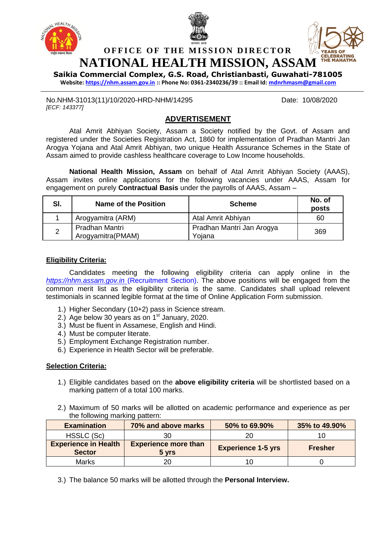



# **OFFICE OF THE MISSION DIRECTOR NATIONAL HEALTH MISSION, ASSAM**



**Saikia Commercial Complex, G.S. Road, Christianbasti, Guwahati-781005**

**Website[: https://nhm.assam.gov.in](https://nhm.assam.gov.in/) :: Phone No: 0361-2340236/39 :: Email Id: [mdnrhmasm@gmail.com](mailto:mdnrhmasm@gmail.com)**

No.NHM-31013(11)/10/2020-HRD-NHM/14295 Date: 10/08/2020 *[ECF: 143377]*

## **ADVERTISEMENT**

Atal Amrit Abhiyan Society, Assam a Society notified by the Govt. of Assam and registered under the Societies Registration Act, 1860 for implementation of Pradhan Mantri Jan Arogya Yojana and Atal Amrit Abhiyan, two unique Health Assurance Schemes in the State of Assam aimed to provide cashless healthcare coverage to Low Income households.

**National Health Mission, Assam** on behalf of Atal Amrit Abhiyan Society (AAAS), Assam invites online applications for the following vacancies under AAAS, Assam for engagement on purely **Contractual Basis** under the payrolls of AAAS, Assam –

| SI. | <b>Name of the Position</b>         | <b>Scheme</b>                       | No. of<br>posts |
|-----|-------------------------------------|-------------------------------------|-----------------|
|     | Arogyamitra (ARM)                   | Atal Amrit Abhiyan                  | 60              |
| ◠   | Pradhan Mantri<br>Arogyamitra(PMAM) | Pradhan Mantri Jan Arogya<br>Yojana | 369             |

### **Eligibility Criteria:**

Candidates meeting the following eligibility criteria can apply online in the *[https://nhm.assam.gov.in](https://nhm.assam.gov.in/)* (Recruitment Section). The above positions will be engaged from the common merit list as the eligibility criteria is the same. Candidates shall upload relevent testimonials in scanned legible format at the time of Online Application Form submission.

- 1.) Higher Secondary (10+2) pass in Science stream.
- 2.) Age below 30 years as on  $1<sup>st</sup>$  January, 2020.
- 3.) Must be fluent in Assamese, English and Hindi.
- 4.) Must be computer literate.
- 5.) Employment Exchange Registration number.
- 6.) Experience in Health Sector will be preferable.

#### **Selection Criteria:**

- 1.) Eligible candidates based on the **above eligibility criteria** will be shortlisted based on a marking pattern of a total 100 marks.
- 2.) Maximum of 50 marks will be allotted on academic performance and experience as per the following marking pattern:

| <b>Examination</b>                           | 70% and above marks                  | 50% to 69.90%             | 35% to 49.90%  |
|----------------------------------------------|--------------------------------------|---------------------------|----------------|
| HSSLC (Sc)                                   | 30                                   |                           |                |
| <b>Experience in Health</b><br><b>Sector</b> | <b>Experience more than</b><br>5 yrs | <b>Experience 1-5 yrs</b> | <b>Fresher</b> |
|                                              |                                      |                           |                |

3.) The balance 50 marks will be allotted through the **Personal Interview.**